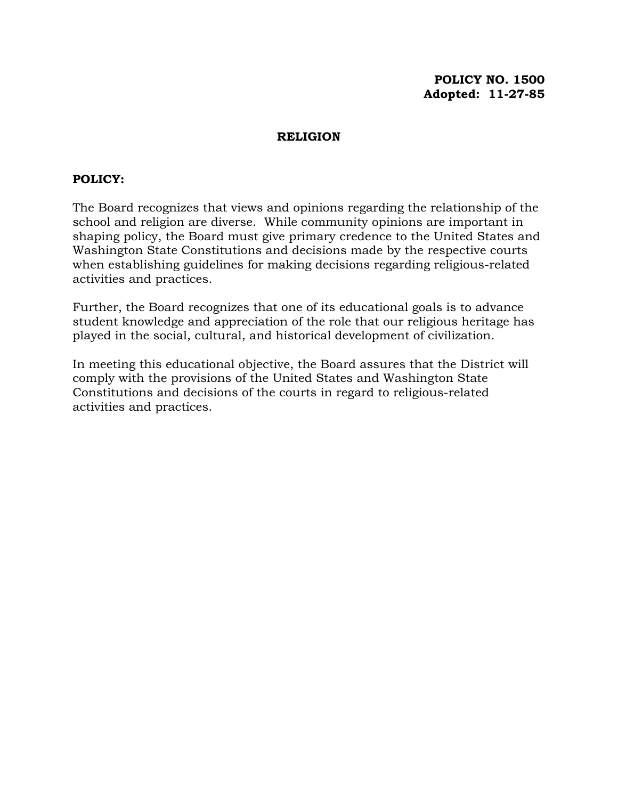### **POLICY NO. 1500 Adopted: 11-27-85**

#### **RELIGION**

#### **POLICY:**

The Board recognizes that views and opinions regarding the relationship of the school and religion are diverse. While community opinions are important in shaping policy, the Board must give primary credence to the United States and Washington State Constitutions and decisions made by the respective courts when establishing guidelines for making decisions regarding religious-related activities and practices.

Further, the Board recognizes that one of its educational goals is to advance student knowledge and appreciation of the role that our religious heritage has played in the social, cultural, and historical development of civilization.

In meeting this educational objective, the Board assures that the District will comply with the provisions of the United States and Washington State Constitutions and decisions of the courts in regard to religious-related activities and practices.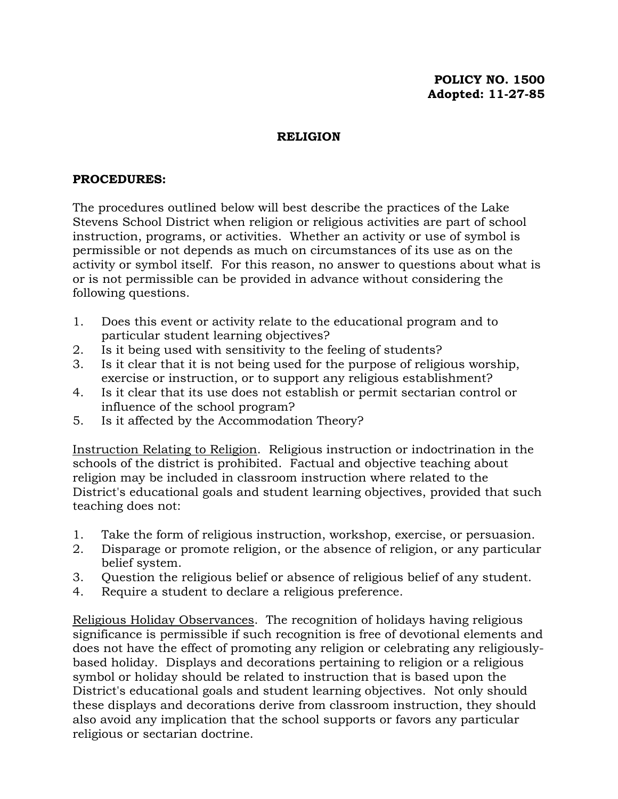# **POLICY NO. 1500 Adopted: 11-27-85**

### **RELIGION**

#### **PROCEDURES:**

The procedures outlined below will best describe the practices of the Lake Stevens School District when religion or religious activities are part of school instruction, programs, or activities. Whether an activity or use of symbol is permissible or not depends as much on circumstances of its use as on the activity or symbol itself. For this reason, no answer to questions about what is or is not permissible can be provided in advance without considering the following questions.

- 1. Does this event or activity relate to the educational program and to particular student learning objectives?
- 2. Is it being used with sensitivity to the feeling of students?
- 3. Is it clear that it is not being used for the purpose of religious worship, exercise or instruction, or to support any religious establishment?
- 4. Is it clear that its use does not establish or permit sectarian control or influence of the school program?
- 5. Is it affected by the Accommodation Theory?

Instruction Relating to Religion. Religious instruction or indoctrination in the schools of the district is prohibited. Factual and objective teaching about religion may be included in classroom instruction where related to the District's educational goals and student learning objectives, provided that such teaching does not:

- 1. Take the form of religious instruction, workshop, exercise, or persuasion.
- 2. Disparage or promote religion, or the absence of religion, or any particular belief system.
- 3. Question the religious belief or absence of religious belief of any student.
- 4. Require a student to declare a religious preference.

Religious Holiday Observances. The recognition of holidays having religious significance is permissible if such recognition is free of devotional elements and does not have the effect of promoting any religion or celebrating any religiouslybased holiday. Displays and decorations pertaining to religion or a religious symbol or holiday should be related to instruction that is based upon the District's educational goals and student learning objectives. Not only should these displays and decorations derive from classroom instruction, they should also avoid any implication that the school supports or favors any particular religious or sectarian doctrine.